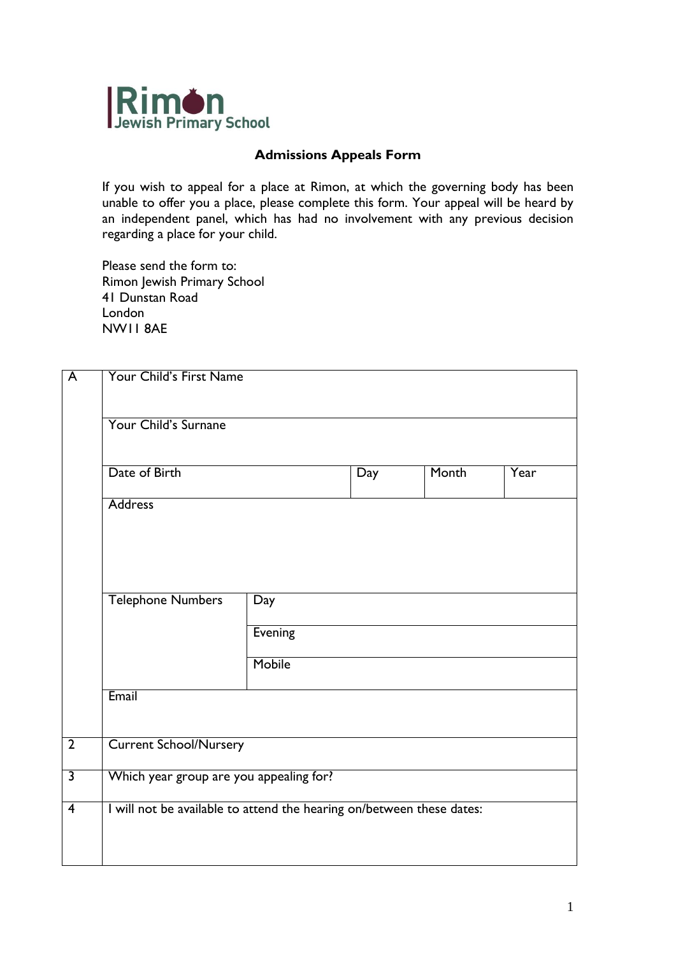

## **Admissions Appeals Form**

If you wish to appeal for a place at Rimon, at which the governing body has been unable to offer you a place, please complete this form. Your appeal will be heard by an independent panel, which has had no involvement with any previous decision regarding a place for your child.

Please send the form to: Rimon Jewish Primary School 41 Dunstan Road London NW11 8AE

| $\overline{\mathsf{A}}$ | Your Child's First Name                                               |         |     |       |      |  |  |
|-------------------------|-----------------------------------------------------------------------|---------|-----|-------|------|--|--|
|                         | Your Child's Surnane                                                  |         |     |       |      |  |  |
|                         | Date of Birth                                                         |         | Day | Month | Year |  |  |
|                         | <b>Address</b>                                                        |         |     |       |      |  |  |
|                         |                                                                       |         |     |       |      |  |  |
|                         | <b>Telephone Numbers</b>                                              | Day     |     |       |      |  |  |
|                         |                                                                       | Evening |     |       |      |  |  |
|                         |                                                                       | Mobile  |     |       |      |  |  |
|                         | Email                                                                 |         |     |       |      |  |  |
| $\overline{2}$          | <b>Current School/Nursery</b>                                         |         |     |       |      |  |  |
| $\overline{\mathbf{3}}$ | Which year group are you appealing for?                               |         |     |       |      |  |  |
| $\overline{4}$          | I will not be available to attend the hearing on/between these dates: |         |     |       |      |  |  |
|                         |                                                                       |         |     |       |      |  |  |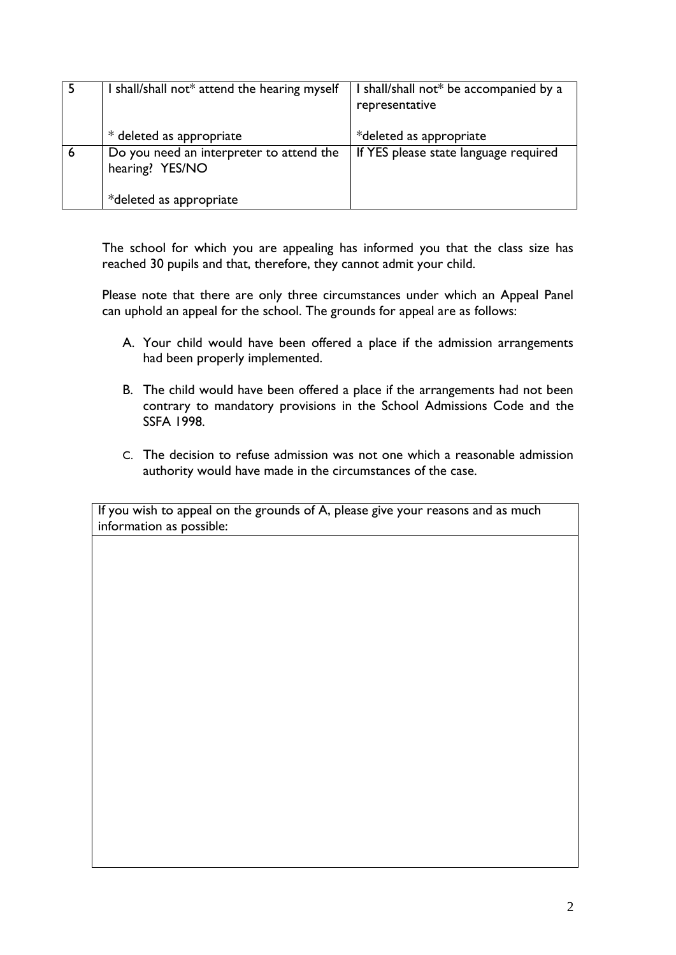|   | I shall/shall not* attend the hearing myself                | I shall/shall not* be accompanied by a<br>representative |
|---|-------------------------------------------------------------|----------------------------------------------------------|
|   | * deleted as appropriate                                    | *deleted as appropriate                                  |
| 6 | Do you need an interpreter to attend the<br>hearing? YES/NO | If YES please state language required                    |
|   | *deleted as appropriate                                     |                                                          |

The school for which you are appealing has informed you that the class size has reached 30 pupils and that, therefore, they cannot admit your child.

Please note that there are only three circumstances under which an Appeal Panel can uphold an appeal for the school. The grounds for appeal are as follows:

- A. Your child would have been offered a place if the admission arrangements had been properly implemented.
- B. The child would have been offered a place if the arrangements had not been contrary to mandatory provisions in the School Admissions Code and the SSFA 1998.
- C. The decision to refuse admission was not one which a reasonable admission authority would have made in the circumstances of the case.

If you wish to appeal on the grounds of A, please give your reasons and as much information as possible: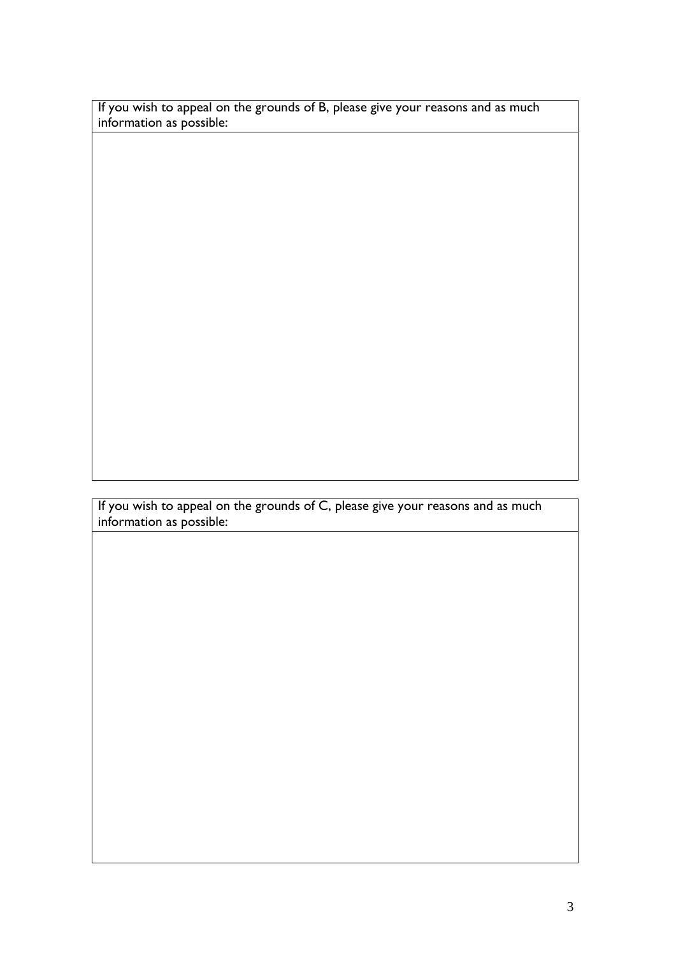If you wish to appeal on the grounds of B, please give your reasons and as much information as possible:

If you wish to appeal on the grounds of C, please give your reasons and as much information as possible: